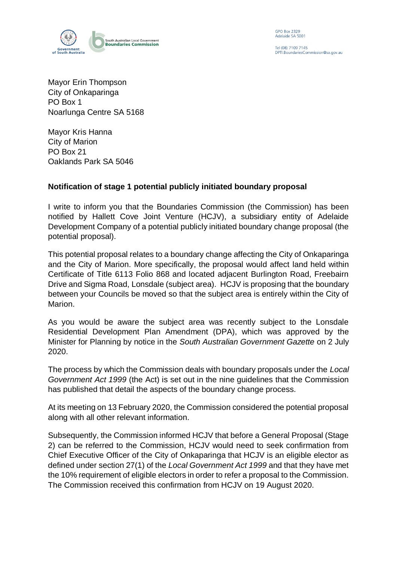

**GPO Box 2329** Adelaide SA 5001

Tel (08) 7109 7145 PTI. Boundaries Commission@sa.gov.au

Mayor Erin Thompson City of Onkaparinga PO Box 1 Noarlunga Centre SA 5168

Mayor Kris Hanna City of Marion PO Box 21 Oaklands Park SA 5046

## **Notification of stage 1 potential publicly initiated boundary proposal**

I write to inform you that the Boundaries Commission (the Commission) has been notified by Hallett Cove Joint Venture (HCJV), a subsidiary entity of Adelaide Development Company of a potential publicly initiated boundary change proposal (the potential proposal).

This potential proposal relates to a boundary change affecting the City of Onkaparinga and the City of Marion. More specifically, the proposal would affect land held within Certificate of Title 6113 Folio 868 and located adjacent Burlington Road, Freebairn Drive and Sigma Road, Lonsdale (subject area). HCJV is proposing that the boundary between your Councils be moved so that the subject area is entirely within the City of Marion.

As you would be aware the subject area was recently subject to the Lonsdale Residential Development Plan Amendment (DPA), which was approved by the Minister for Planning by notice in the *South Australian Government Gazette* on 2 July 2020.

The process by which the Commission deals with boundary proposals under the *Local Government Act 1999* (the Act) is set out in the nine guidelines that the Commission has published that detail the aspects of the boundary change process.

At its meeting on 13 February 2020, the Commission considered the potential proposal along with all other relevant information.

Subsequently, the Commission informed HCJV that before a General Proposal (Stage 2) can be referred to the Commission, HCJV would need to seek confirmation from Chief Executive Officer of the City of Onkaparinga that HCJV is an eligible elector as defined under section 27(1) of the *Local Government Act 1999* and that they have met the 10% requirement of eligible electors in order to refer a proposal to the Commission. The Commission received this confirmation from HCJV on 19 August 2020.